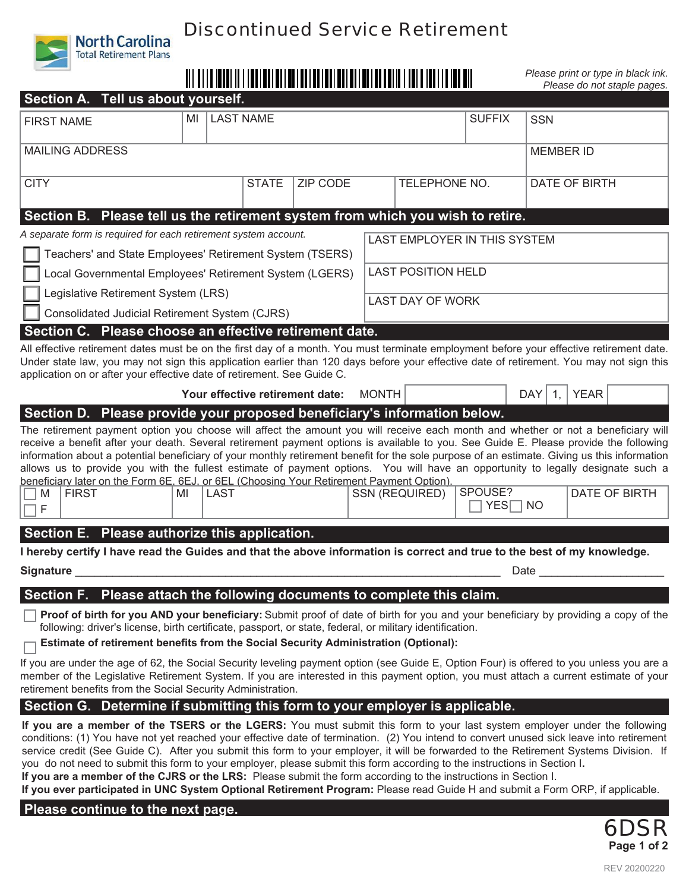

# Discontinued Service Retirement

*Please print or type in black ink. Please do not staple pages.*

| Section A. Tell us about yourself.                                                                                                                                                                                                                                                                                                                                                                                                                                                                                                                                                                                                                                                         |    |                  |              |                                 |              |                              |                                      |                                      |  |  |
|--------------------------------------------------------------------------------------------------------------------------------------------------------------------------------------------------------------------------------------------------------------------------------------------------------------------------------------------------------------------------------------------------------------------------------------------------------------------------------------------------------------------------------------------------------------------------------------------------------------------------------------------------------------------------------------------|----|------------------|--------------|---------------------------------|--------------|------------------------------|--------------------------------------|--------------------------------------|--|--|
| <b>FIRST NAME</b>                                                                                                                                                                                                                                                                                                                                                                                                                                                                                                                                                                                                                                                                          | MI | <b>LAST NAME</b> |              |                                 |              |                              | <b>SUFFIX</b>                        | <b>SSN</b>                           |  |  |
| <b>MAILING ADDRESS</b>                                                                                                                                                                                                                                                                                                                                                                                                                                                                                                                                                                                                                                                                     |    |                  |              |                                 |              |                              | <b>MEMBER ID</b>                     |                                      |  |  |
| <b>CITY</b>                                                                                                                                                                                                                                                                                                                                                                                                                                                                                                                                                                                                                                                                                |    |                  | <b>STATE</b> | <b>ZIP CODE</b>                 |              | TELEPHONE NO.                |                                      | DATE OF BIRTH                        |  |  |
| Section B. Please tell us the retirement system from which you wish to retire.                                                                                                                                                                                                                                                                                                                                                                                                                                                                                                                                                                                                             |    |                  |              |                                 |              |                              |                                      |                                      |  |  |
| A separate form is required for each retirement system account.                                                                                                                                                                                                                                                                                                                                                                                                                                                                                                                                                                                                                            |    |                  |              |                                 |              | LAST EMPLOYER IN THIS SYSTEM |                                      |                                      |  |  |
| Teachers' and State Employees' Retirement System (TSERS)                                                                                                                                                                                                                                                                                                                                                                                                                                                                                                                                                                                                                                   |    |                  |              |                                 |              |                              |                                      |                                      |  |  |
| Local Governmental Employees' Retirement System (LGERS)                                                                                                                                                                                                                                                                                                                                                                                                                                                                                                                                                                                                                                    |    |                  |              |                                 |              | <b>LAST POSITION HELD</b>    |                                      |                                      |  |  |
| Legislative Retirement System (LRS)                                                                                                                                                                                                                                                                                                                                                                                                                                                                                                                                                                                                                                                        |    |                  |              |                                 |              | <b>LAST DAY OF WORK</b>      |                                      |                                      |  |  |
| Consolidated Judicial Retirement System (CJRS)                                                                                                                                                                                                                                                                                                                                                                                                                                                                                                                                                                                                                                             |    |                  |              |                                 |              |                              |                                      |                                      |  |  |
| Section C. Please choose an effective retirement date.                                                                                                                                                                                                                                                                                                                                                                                                                                                                                                                                                                                                                                     |    |                  |              |                                 |              |                              |                                      |                                      |  |  |
| All effective retirement dates must be on the first day of a month. You must terminate employment before your effective retirement date.<br>Under state law, you may not sign this application earlier than 120 days before your effective date of retirement. You may not sign this<br>application on or after your effective date of retirement. See Guide C.                                                                                                                                                                                                                                                                                                                            |    |                  |              |                                 |              |                              |                                      |                                      |  |  |
|                                                                                                                                                                                                                                                                                                                                                                                                                                                                                                                                                                                                                                                                                            |    |                  |              | Your effective retirement date: | <b>MONTH</b> |                              |                                      | <b>YEAR</b><br>DAY  <br>$\mathbf{1}$ |  |  |
| Section D. Please provide your proposed beneficiary's information below.                                                                                                                                                                                                                                                                                                                                                                                                                                                                                                                                                                                                                   |    |                  |              |                                 |              |                              |                                      |                                      |  |  |
| The retirement payment option you choose will affect the amount you will receive each month and whether or not a beneficiary will<br>receive a benefit after your death. Several retirement payment options is available to you. See Guide E. Please provide the following<br>information about a potential beneficiary of your monthly retirement benefit for the sole purpose of an estimate. Giving us this information<br>allows us to provide you with the fullest estimate of payment options. You will have an opportunity to legally designate such a<br>beneficiary later on the Form 6E, 6EJ, or 6EL (Choosing Your Retirement Payment Option).<br><b>FIRST</b><br>M<br>$\Box$ F | MI | <b>LAST</b>      |              |                                 |              | SSN (REQUIRED)               | SPOUSE?<br><b>YES</b> <del> NO</del> | DATE OF BIRTH                        |  |  |
| Section E. Please authorize this application.                                                                                                                                                                                                                                                                                                                                                                                                                                                                                                                                                                                                                                              |    |                  |              |                                 |              |                              |                                      |                                      |  |  |
| I hereby certify I have read the Guides and that the above information is correct and true to the best of my knowledge.                                                                                                                                                                                                                                                                                                                                                                                                                                                                                                                                                                    |    |                  |              |                                 |              |                              |                                      |                                      |  |  |
| Signature<br>Date                                                                                                                                                                                                                                                                                                                                                                                                                                                                                                                                                                                                                                                                          |    |                  |              |                                 |              |                              |                                      |                                      |  |  |
| Section F. Please attach the following documents to complete this claim.                                                                                                                                                                                                                                                                                                                                                                                                                                                                                                                                                                                                                   |    |                  |              |                                 |              |                              |                                      |                                      |  |  |
| Proof of birth for you AND your beneficiary: Submit proof of date of birth for you and your beneficiary by providing a copy of the<br>following: driver's license, birth certificate, passport, or state, federal, or military identification.<br>Estimate of retirement benefits from the Social Security Administration (Optional):                                                                                                                                                                                                                                                                                                                                                      |    |                  |              |                                 |              |                              |                                      |                                      |  |  |
| If you are under the age of 62, the Social Security leveling payment option (see Guide E, Option Four) is offered to you unless you are a<br>member of the Legislative Retirement System. If you are interested in this payment option, you must attach a current estimate of your<br>retirement benefits from the Social Security Administration.                                                                                                                                                                                                                                                                                                                                         |    |                  |              |                                 |              |                              |                                      |                                      |  |  |
| Section G. Determine if submitting this form to your employer is applicable.                                                                                                                                                                                                                                                                                                                                                                                                                                                                                                                                                                                                               |    |                  |              |                                 |              |                              |                                      |                                      |  |  |
| If you are a member of the TSERS or the LGERS: You must submit this form to your last system employer under the following<br>conditions: (1) You have not yet reached your effective date of termination. (2) You intend to convert unused sick leave into retirement<br>service credit (See Guide C). After you submit this form to your employer, it will be forwarded to the Retirement Systems Division. If                                                                                                                                                                                                                                                                            |    |                  |              |                                 |              |                              |                                      |                                      |  |  |

you do not need to submit this form to your employer, please submit this form according to the instructions in Section I**. If you are a member of the CJRS or the LRS:** Please submit the form according to the instructions in Section I.

**If you ever participated in UNC System Optional Retirement Program:** Please read Guide H and submit a Form ORP, if applicable.

# **Please continue to the next page.**

6DSR **Page 1 of 2**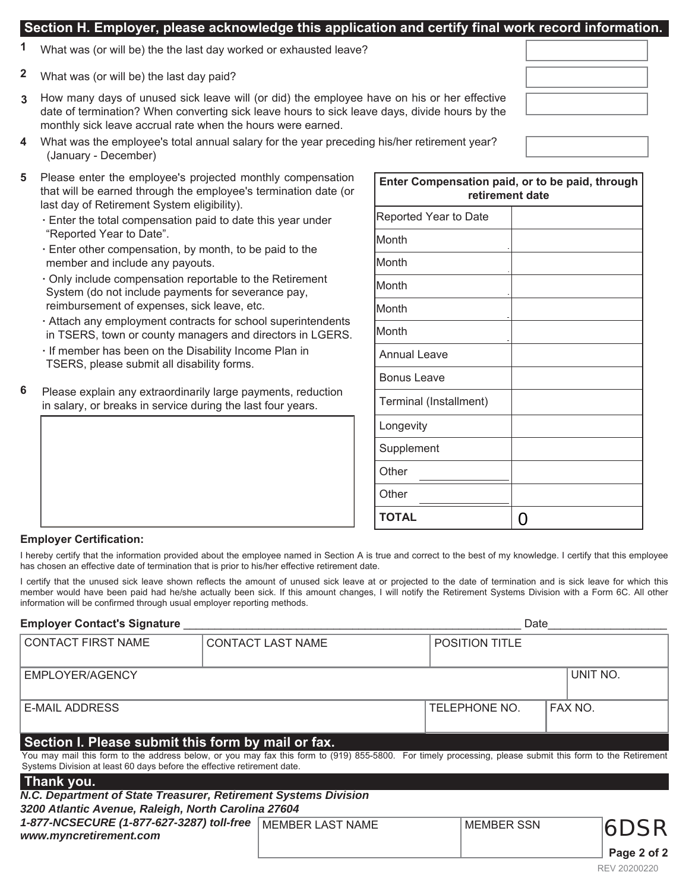# **Section H. Employer, please acknowledge this application and certify final work record information.**

- **1** What was (or will be) the the last day worked or exhausted leave?
- What was (or will be) the last day paid? **2**
- **3** How many days of unused sick leave will (or did) the employee have on his or her effective date of termination? When converting sick leave hours to sick leave days, divide hours by the monthly sick leave accrual rate when the hours were earned.
- **4** What was the employee's total annual salary for the year preceding his/her retirement year? (January - December)
- **5** Please enter the employee's projected monthly compensation that will be earned through the employee's termination date (or last day of Retirement System eligibility).
	- **·** Enter the total compensation paid to date this year under "Reported Year to Date".
	- **·** Enter other compensation, by month, to be paid to the member and include any payouts.
	- **·** Only include compensation reportable to the Retirement System (do not include payments for severance pay, reimbursement of expenses, sick leave, etc.
	- **·** Attach any employment contracts for school superintendents in TSERS, town or county managers and directors in LGERS.
	- **·** If member has been on the Disability Income Plan in TSERS, please submit all disability forms.
- Please explain any extraordinarily large payments, reduction in salary, or breaks in service during the last four years. **6**

| Enter Compensation paid, or to be paid, through<br>retirement date |   |  |  |  |
|--------------------------------------------------------------------|---|--|--|--|
| Reported Year to Date                                              |   |  |  |  |
| Month                                                              |   |  |  |  |
| Month                                                              |   |  |  |  |
| Month                                                              |   |  |  |  |
| Month                                                              |   |  |  |  |
| Month                                                              |   |  |  |  |
| <b>Annual Leave</b>                                                |   |  |  |  |
| <b>Bonus Leave</b>                                                 |   |  |  |  |
| Terminal (Installment)                                             |   |  |  |  |
| Longevity                                                          |   |  |  |  |
| Supplement                                                         |   |  |  |  |
| Other                                                              |   |  |  |  |
| Other                                                              |   |  |  |  |
| <b>TOTAL</b>                                                       | 0 |  |  |  |

### **Employer Certification:**

I hereby certify that the information provided about the employee named in Section A is true and correct to the best of my knowledge. I certify that this employee has chosen an effective date of termination that is prior to his/her effective retirement date.

I certify that the unused sick leave shown reflects the amount of unused sick leave at or projected to the date of termination and is sick leave for which this member would have been paid had he/she actually been sick. If this amount changes, I will notify the Retirement Systems Division with a Form 6C. All other information will be confirmed through usual employer reporting methods.

### **Employer Contact's Signature Laterature** and **Contacting Systems** and **Contacting Systems** and **Contacting Systems**

| <b>CONTACT FIRST NAME</b>                                                                                                                                                                                                                                                                  | <b>CONTACT LAST NAME</b> | <b>POSITION TITLE</b> |                |             |
|--------------------------------------------------------------------------------------------------------------------------------------------------------------------------------------------------------------------------------------------------------------------------------------------|--------------------------|-----------------------|----------------|-------------|
| EMPLOYER/AGENCY                                                                                                                                                                                                                                                                            |                          |                       | UNIT NO.       |             |
| <b>E-MAIL ADDRESS</b>                                                                                                                                                                                                                                                                      |                          | TELEPHONE NO.         | <b>FAX NO.</b> |             |
| Section I. Please submit this form by mail or fax.<br>You may mail this form to the address below, or you may fax this form to (919) 855-5800. For timely processing, please submit this form to the Retirement<br>Systems Division at least 60 days before the effective retirement date. |                          |                       |                |             |
| Thank you.<br>N.C. Department of State Treasurer, Retirement Systems Division                                                                                                                                                                                                              |                          |                       |                |             |
| 3200 Atlantic Avenue, Raleigh, North Carolina 27604<br>1-877-NCSECURE (1-877-627-3287) toll-free MEMBER LAST NAME<br>www.myncretirement.com                                                                                                                                                |                          | <b>MEMBER SSN</b>     |                | <b>6DSR</b> |
|                                                                                                                                                                                                                                                                                            |                          |                       |                |             |

**Page 2 of 2**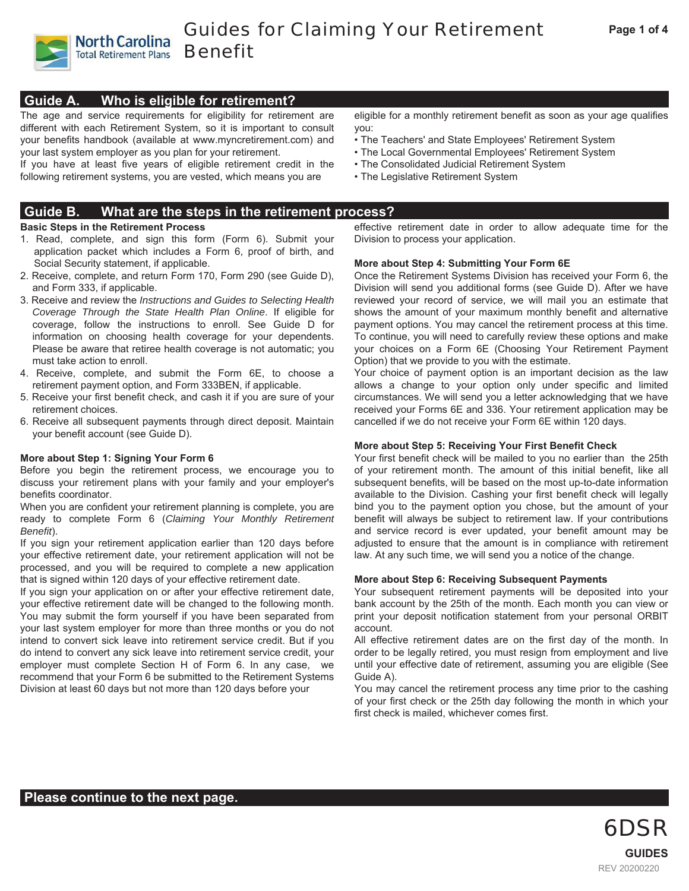

**North Carolina** 

# **Guide A. Who is eligible for retirement?**

The age and service requirements for eligibility for retirement are different with each Retirement System, so it is important to consult your benefits handbook (available at www.myncretirement.com) and your last system employer as you plan for your retirement.

If you have at least five years of eligible retirement credit in the following retirement systems, you are vested, which means you are

# **Guide B. What are the steps in the retirement process?**

### **Basic Steps in the Retirement Process**

- 1. Read, complete, and sign this form (Form 6). Submit your application packet which includes a Form 6, proof of birth, and Social Security statement, if applicable.
- 2. Receive, complete, and return Form 170, Form 290 (see Guide D), and Form 333, if applicable.
- 3. Receive and review the *Instructions and Guides to Selecting Health Coverage Through the State Health Plan Online*. If eligible for coverage, follow the instructions to enroll. See Guide D for information on choosing health coverage for your dependents. Please be aware that retiree health coverage is not automatic; you must take action to enroll.
- 4. Receive, complete, and submit the Form 6E, to choose a retirement payment option, and Form 333BEN, if applicable.
- 5. Receive your first benefit check, and cash it if you are sure of your retirement choices.
- 6. Receive all subsequent payments through direct deposit. Maintain your benefit account (see Guide D).

# **More about Step 1: Signing Your Form 6**

Before you begin the retirement process, we encourage you to discuss your retirement plans with your family and your employer's benefits coordinator.

When you are confident your retirement planning is complete, you are ready to complete Form 6 (*Claiming Your Monthly Retirement Benefit*).

If you sign your retirement application earlier than 120 days before your effective retirement date, your retirement application will not be processed, and you will be required to complete a new application that is signed within 120 days of your effective retirement date.

If you sign your application on or after your effective retirement date, your effective retirement date will be changed to the following month. You may submit the form yourself if you have been separated from your last system employer for more than three months or you do not intend to convert sick leave into retirement service credit. But if you do intend to convert any sick leave into retirement service credit, your employer must complete Section H of Form 6. In any case, we recommend that your Form 6 be submitted to the Retirement Systems Division at least 60 days but not more than 120 days before your

eligible for a monthly retirement benefit as soon as your age qualifies you:

- The Teachers' and State Employees' Retirement System
- The Local Governmental Employees' Retirement System
- The Consolidated Judicial Retirement System
- The Legislative Retirement System

effective retirement date in order to allow adequate time for the Division to process your application.

# **More about Step 4: Submitting Your Form 6E**

Once the Retirement Systems Division has received your Form 6, the Division will send you additional forms (see Guide D). After we have reviewed your record of service, we will mail you an estimate that shows the amount of your maximum monthly benefit and alternative payment options. You may cancel the retirement process at this time. To continue, you will need to carefully review these options and make your choices on a Form 6E (Choosing Your Retirement Payment Option) that we provide to you with the estimate.

Your choice of payment option is an important decision as the law allows a change to your option only under specific and limited circumstances. We will send you a letter acknowledging that we have received your Forms 6E and 336. Your retirement application may be cancelled if we do not receive your Form 6E within 120 days.

# **More about Step 5: Receiving Your First Benefit Check**

Your first benefit check will be mailed to you no earlier than the 25th of your retirement month. The amount of this initial benefit, like all subsequent benefits, will be based on the most up-to-date information available to the Division. Cashing your first benefit check will legally bind you to the payment option you chose, but the amount of your benefit will always be subject to retirement law. If your contributions and service record is ever updated, your benefit amount may be adjusted to ensure that the amount is in compliance with retirement law. At any such time, we will send you a notice of the change.

# **More about Step 6: Receiving Subsequent Payments**

Your subsequent retirement payments will be deposited into your bank account by the 25th of the month. Each month you can view or print your deposit notification statement from your personal ORBIT account.

All effective retirement dates are on the first day of the month. In order to be legally retired, you must resign from employment and live until your effective date of retirement, assuming you are eligible (See Guide A).

You may cancel the retirement process any time prior to the cashing of your first check or the 25th day following the month in which your first check is mailed, whichever comes first.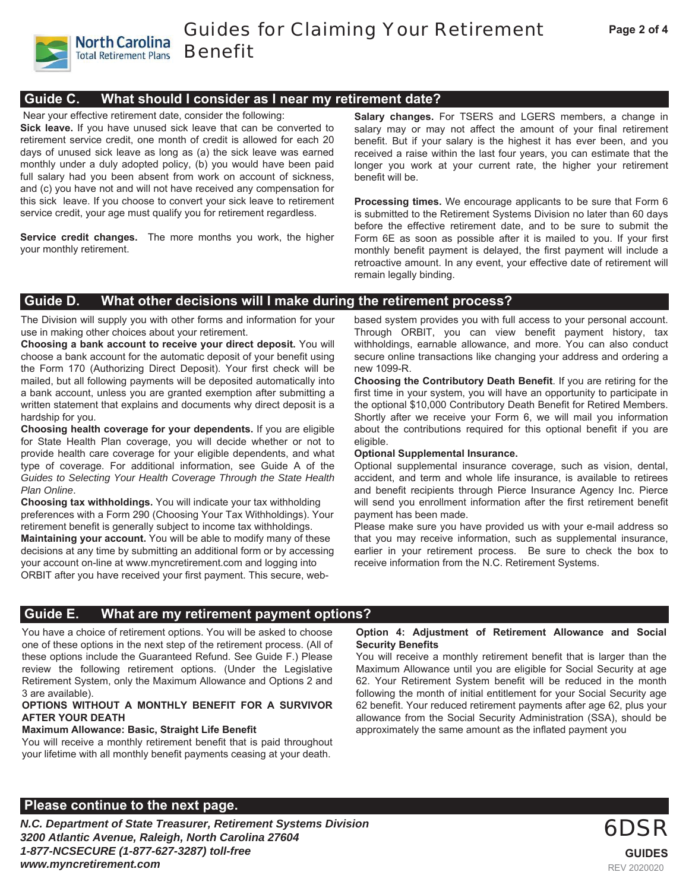Guides for Claiming Your Retirement Benefit

# **Guide C. What should I consider as I near my retirement date?**

Near your effective retirement date, consider the following:

**North Carolina Total Retirement Plans** 

**Sick leave.** If you have unused sick leave that can be converted to retirement service credit, one month of credit is allowed for each 20 days of unused sick leave as long as (a) the sick leave was earned monthly under a duly adopted policy, (b) you would have been paid full salary had you been absent from work on account of sickness, and (c) you have not and will not have received any compensation for this sick leave. If you choose to convert your sick leave to retirement service credit, your age must qualify you for retirement regardless.

**Service credit changes.** The more months you work, the higher your monthly retirement.

**Salary changes.** For TSERS and LGERS members, a change in salary may or may not affect the amount of your final retirement benefit. But if your salary is the highest it has ever been, and you received a raise within the last four years, you can estimate that the longer you work at your current rate, the higher your retirement benefit will be.

**Processing times.** We encourage applicants to be sure that Form 6 is submitted to the Retirement Systems Division no later than 60 days before the effective retirement date, and to be sure to submit the Form 6E as soon as possible after it is mailed to you. If your first monthly benefit payment is delayed, the first payment will include a retroactive amount. In any event, your effective date of retirement will remain legally binding.

# **Guide D. What other decisions will I make during the retirement process?**

The Division will supply you with other forms and information for your use in making other choices about your retirement.

**Choosing a bank account to receive your direct deposit.** You will choose a bank account for the automatic deposit of your benefit using the Form 170 (Authorizing Direct Deposit). Your first check will be mailed, but all following payments will be deposited automatically into a bank account, unless you are granted exemption after submitting a written statement that explains and documents why direct deposit is a hardship for you.

**Choosing health coverage for your dependents.** If you are eligible for State Health Plan coverage, you will decide whether or not to provide health care coverage for your eligible dependents, and what type of coverage. For additional information, see Guide A of the *Guides to Selecting Your Health Coverage Through the State Health Plan Online*.

**Choosing tax withholdings.** You will indicate your tax withholding preferences with a Form 290 (Choosing Your Tax Withholdings). Your retirement benefit is generally subject to income tax withholdings. **Maintaining your account.** You will be able to modify many of these decisions at any time by submitting an additional form or by accessing your account on-line at www.myncretirement.com and logging into ORBIT after you have received your first payment. This secure, webbased system provides you with full access to your personal account. Through ORBIT, you can view benefit payment history, tax withholdings, earnable allowance, and more. You can also conduct secure online transactions like changing your address and ordering a new 1099-R.

**Choosing the Contributory Death Benefit**. If you are retiring for the first time in your system, you will have an opportunity to participate in the optional \$10,000 Contributory Death Benefit for Retired Members. Shortly after we receive your Form 6, we will mail you information about the contributions required for this optional benefit if you are eligible.

#### **Optional Supplemental Insurance.**

Optional supplemental insurance coverage, such as vision, dental, accident, and term and whole life insurance, is available to retirees and benefit recipients through Pierce Insurance Agency Inc. Pierce will send you enrollment information after the first retirement benefit payment has been made.

Please make sure you have provided us with your e-mail address so that you may receive information, such as supplemental insurance, earlier in your retirement process. Be sure to check the box to receive information from the N.C. Retirement Systems.

# **Guide E. What are my retirement payment options?**

You have a choice of retirement options. You will be asked to choose one of these options in the next step of the retirement process. (All of these options include the Guaranteed Refund. See Guide F.) Please review the following retirement options. (Under the Legislative Retirement System, only the Maximum Allowance and Options 2 and 3 are available).

#### **OPTIONS WITHOUT A MONTHLY BENEFIT FOR A SURVIVOR AFTER YOUR DEATH**

# **Maximum Allowance: Basic, Straight Life Benefit**

You will receive a monthly retirement benefit that is paid throughout your lifetime with all monthly benefit payments ceasing at your death.

# **Please continue to the next page. Please continue to the next page.**

*N.C. Department of State Treasurer, Retirement Systems Division 3200 Atlantic Avenue, Raleigh, North Carolina 27604 1-877-NCSECURE (1-877-627-3287) toll-free www.myncretirement.com* 

#### **Option 4: Adjustment of Retirement Allowance and Social Security Benefits**

You will receive a monthly retirement benefit that is larger than the Maximum Allowance until you are eligible for Social Security at age 62. Your Retirement System benefit will be reduced in the month following the month of initial entitlement for your Social Security age 62 benefit. Your reduced retirement payments after age 62, plus your allowance from the Social Security Administration (SSA), should be approximately the same amount as the inflated payment you

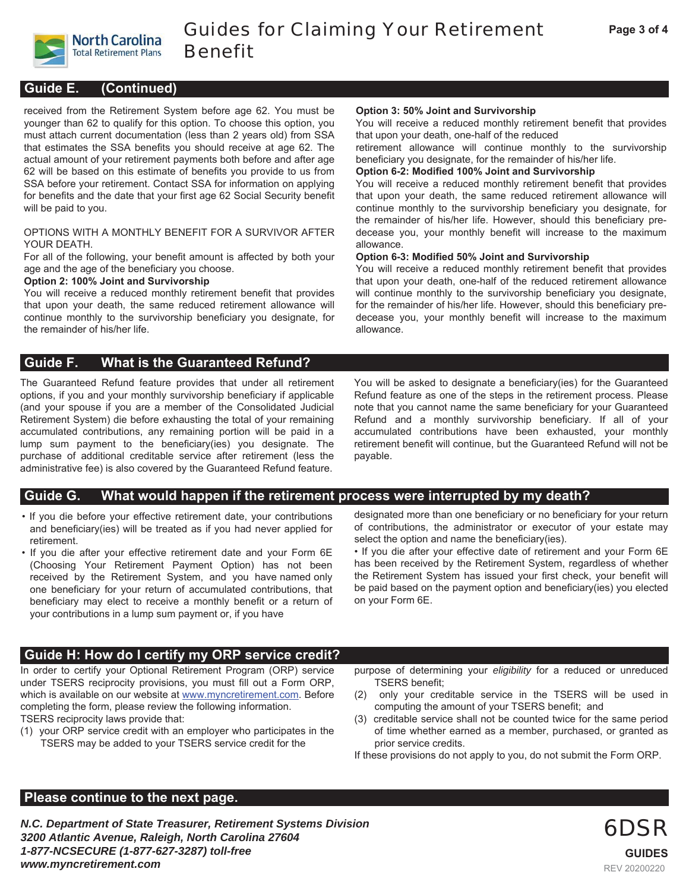

### **Guide E. (Continued)**

received from the Retirement System before age 62. You must be younger than 62 to qualify for this option. To choose this option, you must attach current documentation (less than 2 years old) from SSA that estimates the SSA benefits you should receive at age 62. The actual amount of your retirement payments both before and after age 62 will be based on this estimate of benefits you provide to us from SSA before your retirement. Contact SSA for information on applying for benefits and the date that your first age 62 Social Security benefit will be paid to you.

#### OPTIONS WITH A MONTHLY BENEFIT FOR A SURVIVOR AFTER YOUR DEATH.

For all of the following, your benefit amount is affected by both your age and the age of the beneficiary you choose.

#### **Option 2: 100% Joint and Survivorship**

You will receive a reduced monthly retirement benefit that provides that upon your death, the same reduced retirement allowance will continue monthly to the survivorship beneficiary you designate, for the remainder of his/her life.

#### **Option 3: 50% Joint and Survivorship**

You will receive a reduced monthly retirement benefit that provides that upon your death, one-half of the reduced

retirement allowance will continue monthly to the survivorship beneficiary you designate, for the remainder of his/her life.

#### **Option 6-2: Modified 100% Joint and Survivorship**

You will receive a reduced monthly retirement benefit that provides that upon your death, the same reduced retirement allowance will continue monthly to the survivorship beneficiary you designate, for the remainder of his/her life. However, should this beneficiary predecease you, your monthly benefit will increase to the maximum allowance.

#### **Option 6-3: Modified 50% Joint and Survivorship**

You will receive a reduced monthly retirement benefit that provides that upon your death, one-half of the reduced retirement allowance will continue monthly to the survivorship beneficiary you designate, for the remainder of his/her life. However, should this beneficiary predecease you, your monthly benefit will increase to the maximum allowance.

# **Guide F. What is the Guaranteed Refund?**

The Guaranteed Refund feature provides that under all retirement options, if you and your monthly survivorship beneficiary if applicable (and your spouse if you are a member of the Consolidated Judicial Retirement System) die before exhausting the total of your remaining accumulated contributions, any remaining portion will be paid in a lump sum payment to the beneficiary(ies) you designate. The purchase of additional creditable service after retirement (less the administrative fee) is also covered by the Guaranteed Refund feature.

You will be asked to designate a beneficiary(ies) for the Guaranteed Refund feature as one of the steps in the retirement process. Please note that you cannot name the same beneficiary for your Guaranteed Refund and a monthly survivorship beneficiary. If all of your accumulated contributions have been exhausted, your monthly retirement benefit will continue, but the Guaranteed Refund will not be payable.

# **Guide G. What would happen if the retirement process were interrupted by my death?**

- If you die before your effective retirement date, your contributions and beneficiary(ies) will be treated as if you had never applied for retirement.
- If you die after your effective retirement date and your Form 6E (Choosing Your Retirement Payment Option) has not been received by the Retirement System, and you have named only one beneficiary for your return of accumulated contributions, that beneficiary may elect to receive a monthly benefit or a return of your contributions in a lump sum payment or, if you have

designated more than one beneficiary or no beneficiary for your return of contributions, the administrator or executor of your estate may select the option and name the beneficiary(ies).

• If you die after your effective date of retirement and your Form 6E has been received by the Retirement System, regardless of whether the Retirement System has issued your first check, your benefit will be paid based on the payment option and beneficiary(ies) you elected on your Form 6E.

# **Guide H: How do I certify my ORP service credit?**

In order to certify your Optional Retirement Program (ORP) service under TSERS reciprocity provisions, you must fill out a Form ORP, which is available on our website at www.myncretirement.com. Before completing the form, please review the following information. TSERS reciprocity laws provide that:

(1) your ORP service credit with an employer who participates in the TSERS may be added to your TSERS service credit for the

purpose of determining your *eligibility* for a reduced or unreduced TSERS benefit;

- (2) only your creditable service in the TSERS will be used in computing the amount of your TSERS benefit; and
- (3) creditable service shall not be counted twice for the same period of time whether earned as a member, purchased, or granted as prior service credits.

6DSR

REV 20200220

**GUIDES**

If these provisions do not apply to you, do not submit the Form ORP.

# **Please continue to the next page.**

*N.C. Department of State Treasurer, Retirement Systems Division 3200 Atlantic Avenue, Raleigh, North Carolina 27604 1-877-NCSECURE (1-877-627-3287) toll-free www.myncretirement.com*